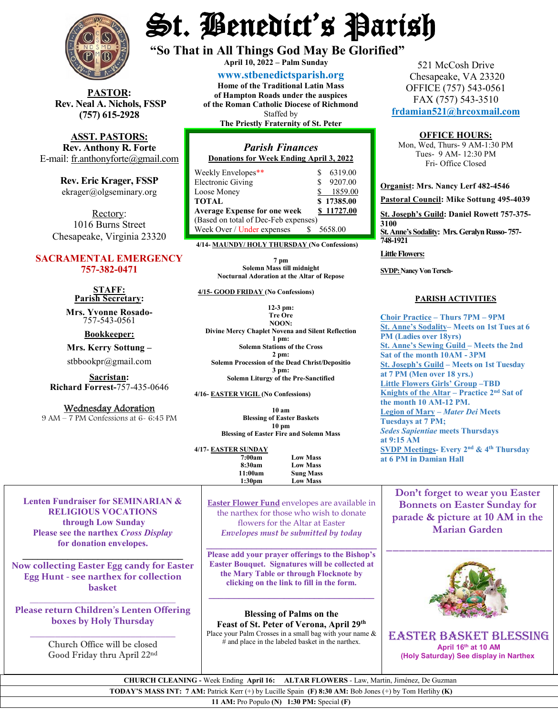

**PASTOR: Rev. Neal A. Nichols, FSSP (757) 615-2928** 

**ASST. PASTORS: Rev. Anthony R. Forte** E-mail: [fr.anthonyforte@gmail.com](mailto:fr.anthonyforte@gmail.com)

> **Rev. Eric Krager, FSSP** ekrager@olgseminary.org

Rectory: 1016 Burns Street Chesapeake, Virginia 23320

## **SACRAMENTAL EMERGENCY 757-382-0471**

**STAFF: Parish Secretary:**

**Mrs. Yvonne Rosado-** 757-543-0561

**Bookkeeper:**

**Mrs. Kerry Sottung –**

stbbookpr@gmail.com

**Sacristan: Richard Forrest-**757-435-0646

Wednesday Adoration<br>9 AM – 7 PM Confessions at 6- 6:45 PM

# St. Benedict's Parish

**"So That in All Things God May Be Glorified" April 10, <sup>2022</sup> – Palm Sunday**

**[www.stbenedictsparish.org](http://www.stbenedictsparish.org/) Home of the Traditional Latin Mass of Hampton Roads under the auspices of the Roman Catholic Diocese of Richmond** Staffed by

**The Priestly Fraternity of St. Peter**

## *Parish Finances* **Donations for Week Ending April 3, 2022**

| Weekly Envelopes**                   |   | 6319.00    |
|--------------------------------------|---|------------|
| <b>Electronic Giving</b>             | ς | 9207.00    |
| Loose Money                          |   | 1859.00    |
| <b>TOTAL</b>                         |   | \$17385.00 |
| <b>Average Expense for one week</b>  |   | \$11727.00 |
| (Based on total of Dec-Feb expenses) |   |            |
| Week Over / Under expenses           |   | 5658.00    |

**4/14- MAUNDY/ HOLY THURSDAY (No Confessions)**

**7 pm Solemn Mass till midnight Nocturnal Adoration at the Altar of Repose**

 **4/15- GOOD FRIDAY (No Confessions)**

**12-3 pm: Tre Ore NOON: Divine Mercy Chaplet Novena and Silent Reflection 1 pm: Solemn Stations of the Cross 2 pm: Solemn Procession of the Dead Christ/Depositio 3 pm: Solemn Liturgy of the Pre-Sanctified**

**4/16- EASTER VIGIL (No Confessions)**

**10 am Blessing of Easter Baskets 10 pm Blessing of Easter Fire and Solemn Mass**

**4/17- EASTER SUNDAY 7:00am** Low Mass<br>8:30am Low Mass **8:30am Low Mass 11:00am Sung Mass** Low Mass

521 McCosh Drive Chesapeake, VA 23320 OFFICE (757) 543-0561 FAX (757) 543-3510 **[frdamian521@hrcoxmail.com](mailto:frdamian521@hrcoxmail.com)**

#### **OFFICE HOURS:**

Mon, Wed, Thurs- 9 AM-1:30 PM Tues- 9 AM- 12:30 PM Fri- Office Closed

**Organist: Mrs. Nancy Lerf 482-4546 Pastoral Council: Mike Sottung 495-4039 St. Joseph's Guild: Daniel Rowett 757-375- 3100 St. Anne's Sodality: Mrs. Geralyn Russo-757- 748-1921 Little Flowers:**

**SVDP: Nancy Von Tersch-**

### **PARISH ACTIVITIES**

**Choir Practice – Thurs 7PM – 9PM St. Anne's Sodality– Meets on 1st Tues at 6 PM (Ladies over 18yrs) St. Anne's Sewing Guild – Meets the 2nd Sat of the month 10AM - 3PM St. Joseph's Guild – Meets on 1st Tuesday at 7 PM (Men over 18 yrs.) Little Flowers Girls' Group –TBD Knights of the Altar – Practice 2nd Sat of the month 10 AM-12 PM. Legion of Mary –** *Mater Dei* **Meets Tuesdays at 7 PM;**  *Sedes Sapientiae* **meets Thursdays at 9:15 AM SVDP Meetings- Every 2nd & 4th Thursday at 6 PM in Damian Hall**

**Lenten Fundraiser for SEMINARIAN & RELIGIOUS VOCATIONS through Low Sunday Please see the narthex** *Cross Display* **for donation envelopes.**

**Now collecting Easter Egg candy for Easter Egg Hunt - see narthex for collection basket**

**\_\_\_\_\_\_\_\_\_\_\_\_\_\_\_\_\_\_\_\_\_\_\_\_\_\_\_\_\_\_\_\_**

**\_\_\_\_\_\_\_\_\_\_\_\_\_\_\_\_\_\_\_\_\_\_\_\_\_\_\_\_\_\_\_\_ Please return Children's Lenten Offering boxes by Holy Thursday**

**\_\_\_\_\_\_\_\_\_\_\_\_\_\_\_\_\_\_\_\_\_\_\_\_\_\_\_\_\_** Church Office will be closed Good Friday thru April 22nd

**Easter Flower Fund** envelopes are available in the narthex for those who wish to donate flowers for the Altar at Easter *Envelopes must be submitted by today*

**\_\_\_\_\_\_\_\_\_\_\_\_\_\_\_\_\_\_\_\_\_\_\_\_\_\_\_\_\_\_\_\_\_\_ Please add your prayer offerings to the Bishop's Easter Bouquet. Signatures will be collected at the Mary Table or through Flocknote by clicking on the link to fill in the form.**

**\_\_\_\_\_\_\_\_\_\_\_\_\_\_\_\_\_\_\_\_\_\_\_\_\_\_\_\_\_\_\_\_\_**

**Blessing of Palms on the Feast of St. Peter of Verona, April 29th** Place your Palm Crosses in a small bag with your name &  $#$  and place in the labeled basket in the narthex.



**Don't forget to wear you Easter Bonnets on Easter Sunday for parade & picture at 10 AM in the Marian Garden** \_\_\_\_\_\_\_\_\_\_\_\_\_\_\_\_\_\_\_\_\_\_\_\_\_\_

EASTER Basket Blessing **April 16th at 10 AM (Holy Saturday) See display in Narthex**

 **CHURCH CLEANING -** Week Ending **April 16: ALTAR FLOWERS** - Law, Martin, Jiménez, De Guzman

**TODAY'S MASS INT: 7 AM:** Patrick Kerr (+) by Lucille Spain **(F) 8:30 AM:** Bob Jones (+) by Tom Herlihy **(K)**

**11 AM:** Pro Populo **(N) 1:30 PM:** Special **(F)**